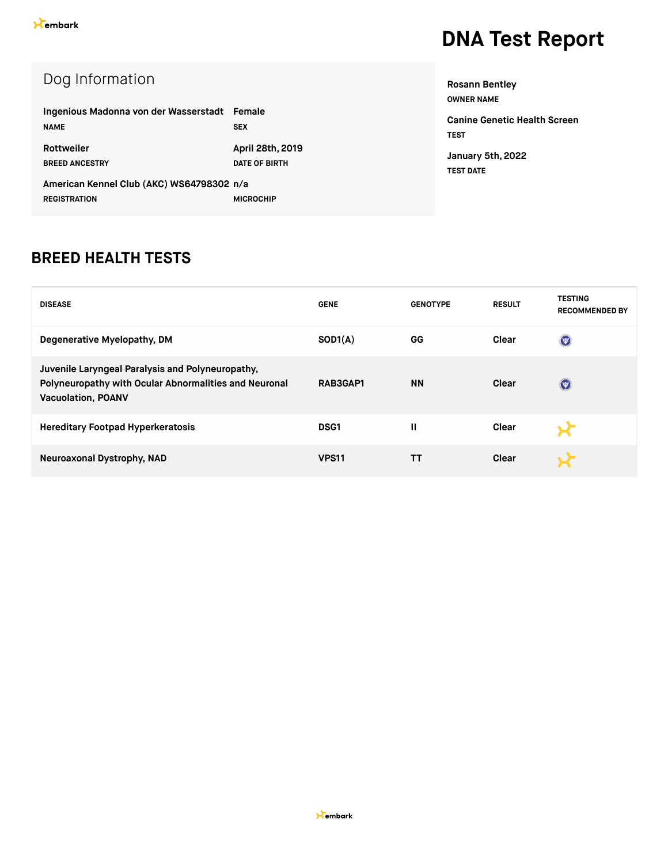| Dog Information                           |                      |
|-------------------------------------------|----------------------|
| Ingenious Madonna von der Wasserstadt     | Female               |
| <b>NAME</b>                               | <b>SEX</b>           |
| Rottweiler                                | April 28th, 2019     |
| <b>BREED ANCESTRY</b>                     | <b>DATE OF BIRTH</b> |
| American Kennel Club (AKC) WS64798302 n/a |                      |
| <b>REGISTRATION</b>                       | <b>MICROCHIP</b>     |

| <b>Rosann Bentley</b>                       |
|---------------------------------------------|
| <b>OWNER NAME</b>                           |
| Canine Genetic Health Screen<br><b>TEST</b> |
| January 5th, 2022<br><b>TEST DATE</b>       |

#### **BREED HEALTH TESTS**

| <b>DISEASE</b>                                                                                                                         | <b>GENE</b>  | <b>GENOTYPE</b> | <b>RESULT</b> | <b>TESTING</b><br><b>RECOMMENDED BY</b> |
|----------------------------------------------------------------------------------------------------------------------------------------|--------------|-----------------|---------------|-----------------------------------------|
| Degenerative Myelopathy, DM                                                                                                            | SOD1(A)      | GG              | Clear         | $\bigcirc$                              |
| Juvenile Laryngeal Paralysis and Polyneuropathy,<br>Polyneuropathy with Ocular Abnormalities and Neuronal<br><b>Vacuolation, POANV</b> | RAB3GAP1     | <b>NN</b>       | Clear         | $\left( $                               |
| <b>Hereditary Footpad Hyperkeratosis</b>                                                                                               | <b>DSG1</b>  | Ш               | <b>Clear</b>  |                                         |
| Neuroaxonal Dystrophy, NAD                                                                                                             | <b>VPS11</b> | тт              | Clear         |                                         |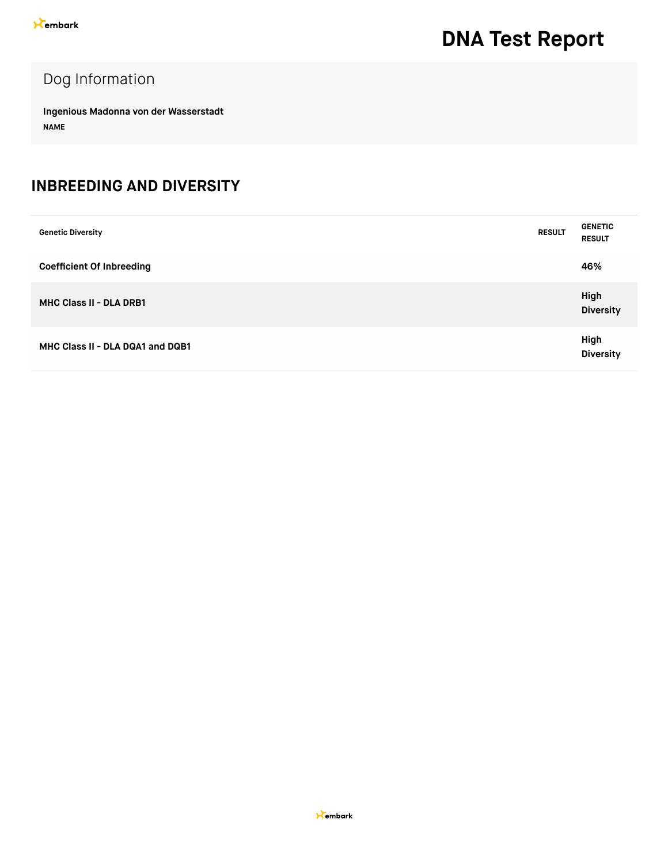#### Dog Information

**Ingenious Madonna von der Wasserstadt NAME**

#### **INBREEDING AND DIVERSITY**

| <b>Genetic Diversity</b>         | <b>RESULT</b> | <b>GENETIC</b><br><b>RESULT</b> |
|----------------------------------|---------------|---------------------------------|
| <b>Coefficient Of Inbreeding</b> |               | 46%                             |
| <b>MHC Class II - DLA DRB1</b>   |               | High<br><b>Diversity</b>        |
| MHC Class II - DLA DQA1 and DQB1 |               | High<br><b>Diversity</b>        |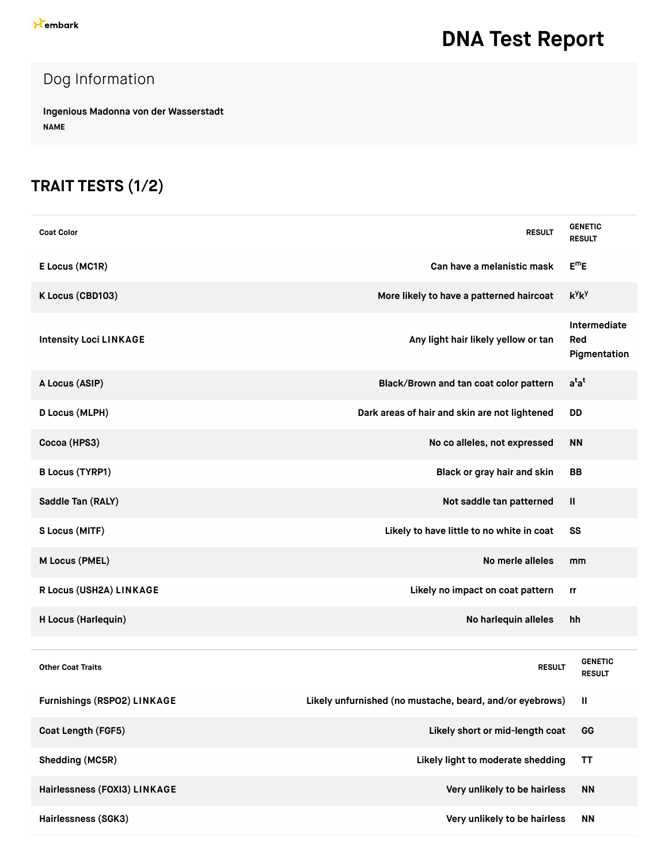### Dog Information

**Ingenious Madonna von der Wasserstadt NAME**

#### **TRAIT TESTS (1/2)**

| <b>Coat Color</b>             | <b>RESULT</b>                                            | <b>GENETIC</b><br><b>RESULT</b>     |
|-------------------------------|----------------------------------------------------------|-------------------------------------|
| E Locus (MC1R)                | Can have a melanistic mask                               | $E^mE$                              |
| K Locus (CBD103)              | More likely to have a patterned haircoat                 | $k^y k^y$                           |
| <b>Intensity Loci LINKAGE</b> | Any light hair likely yellow or tan                      | Intermediate<br>Red<br>Pigmentation |
| A Locus (ASIP)                | Black/Brown and tan coat color pattern                   | $a^{t}a^{t}$                        |
| D Locus (MLPH)                | Dark areas of hair and skin are not lightened            | <b>DD</b>                           |
| Cocoa (HPS3)                  | No co alleles, not expressed                             | <b>NN</b>                           |
| <b>B Locus (TYRP1)</b>        | Black or gray hair and skin                              | <b>BB</b>                           |
| Saddle Tan (RALY)             | Not saddle tan patterned                                 | Ш                                   |
| S Locus (MITF)                | Likely to have little to no white in coat                | SS                                  |
| M Locus (PMEL)                | No merle alleles                                         | mm                                  |
| R Locus (USH2A) LINKAGE       | Likely no impact on coat pattern                         | rr                                  |
| H Locus (Harlequin)           | No harlequin alleles                                     | hh                                  |
|                               |                                                          |                                     |
| <b>Other Coat Traits</b>      | <b>RESULT</b>                                            | <b>GENETIC</b><br><b>RESULT</b>     |
| Furnishings (RSPO2) LINKAGE   | Likely unfurnished (no mustache, beard, and/or eyebrows) | Ш                                   |
| Coat Length (FGF5)            | Likely short or mid-length coat                          | GG                                  |
| Shedding (MC5R)               | Likely light to moderate shedding                        | <b>TT</b>                           |
| Hairlessness (FOXI3) LINKAGE  | Very unlikely to be hairless                             | <b>NN</b>                           |
| Hairlessness (SGK3)           | Very unlikely to be hairless                             | <b>NN</b>                           |